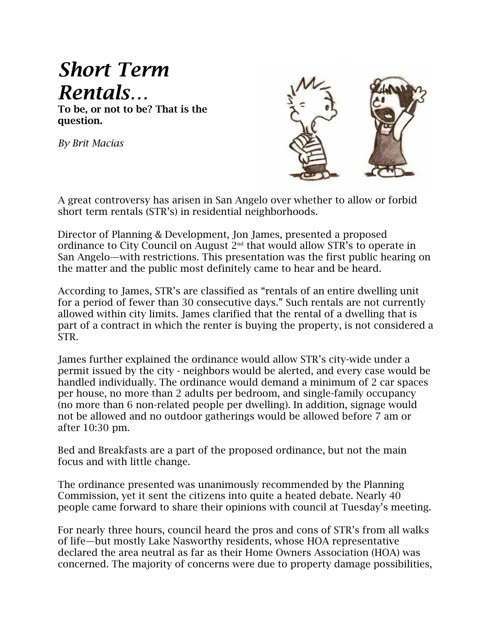## *Short Term Rentals…*

**To be, or not to be? That is the question.**

*By Brit Macias*



A great controversy has arisen in San Angelo over whether to allow or forbid short term rentals (STR's) in residential neighborhoods.

Director of Planning & Development, Jon James, presented a proposed ordinance to City Council on August 2nd that would allow STR's to operate in San Angelo—with restrictions. This presentation was the first public hearing on the matter and the public most definitely came to hear and be heard.

According to James, STR's are classified as "rentals of an entire dwelling unit for a period of fewer than 30 consecutive days." Such rentals are not currently allowed within city limits. James clarified that the rental of a dwelling that is part of a contract in which the renter is buying the property, is not considered a STR.

James further explained the ordinance would allow STR's city-wide under a permit issued by the city - neighbors would be alerted, and every case would be handled individually. The ordinance would demand a minimum of 2 car spaces per house, no more than 2 adults per bedroom, and single-family occupancy (no more than 6 non-related people per dwelling). In addition, signage would not be allowed and no outdoor gatherings would be allowed before 7 am or after 10:30 pm.

Bed and Breakfasts are a part of the proposed ordinance, but not the main focus and with little change.

The ordinance presented was unanimously recommended by the Planning Commission, yet it sent the citizens into quite a heated debate. Nearly 40 people came forward to share their opinions with council at Tuesday's meeting.

For nearly three hours, council heard the pros and cons of STR's from all walks of life—but mostly Lake Nasworthy residents, whose HOA representative declared the area neutral as far as their Home Owners Association (HOA) was concerned. The majority of concerns were due to property damage possibilities,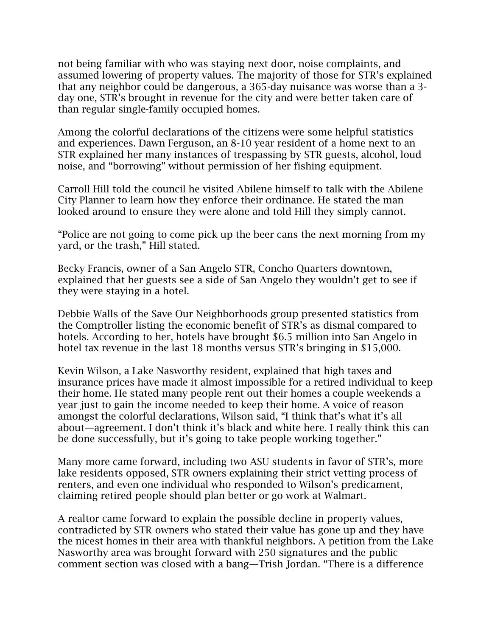not being familiar with who was staying next door, noise complaints, and assumed lowering of property values. The majority of those for STR's explained that any neighbor could be dangerous, a 365-day nuisance was worse than a 3 day one, STR's brought in revenue for the city and were better taken care of than regular single-family occupied homes.

Among the colorful declarations of the citizens were some helpful statistics and experiences. Dawn Ferguson, an 8-10 year resident of a home next to an STR explained her many instances of trespassing by STR guests, alcohol, loud noise, and "borrowing" without permission of her fishing equipment.

Carroll Hill told the council he visited Abilene himself to talk with the Abilene City Planner to learn how they enforce their ordinance. He stated the man looked around to ensure they were alone and told Hill they simply cannot.

"Police are not going to come pick up the beer cans the next morning from my yard, or the trash," Hill stated.

Becky Francis, owner of a San Angelo STR, Concho Quarters downtown, explained that her guests see a side of San Angelo they wouldn't get to see if they were staying in a hotel.

Debbie Walls of the Save Our Neighborhoods group presented statistics from the Comptroller listing the economic benefit of STR's as dismal compared to hotels. According to her, hotels have brought \$6.5 million into San Angelo in hotel tax revenue in the last 18 months versus STR's bringing in \$15,000.

Kevin Wilson, a Lake Nasworthy resident, explained that high taxes and insurance prices have made it almost impossible for a retired individual to keep their home. He stated many people rent out their homes a couple weekends a year just to gain the income needed to keep their home. A voice of reason amongst the colorful declarations, Wilson said, "I think that's what it's all about—agreement. I don't think it's black and white here. I really think this can be done successfully, but it's going to take people working together."

Many more came forward, including two ASU students in favor of STR's, more lake residents opposed, STR owners explaining their strict vetting process of renters, and even one individual who responded to Wilson's predicament, claiming retired people should plan better or go work at Walmart.

A realtor came forward to explain the possible decline in property values, contradicted by STR owners who stated their value has gone up and they have the nicest homes in their area with thankful neighbors. A petition from the Lake Nasworthy area was brought forward with 250 signatures and the public comment section was closed with a bang—Trish Jordan. "There is a difference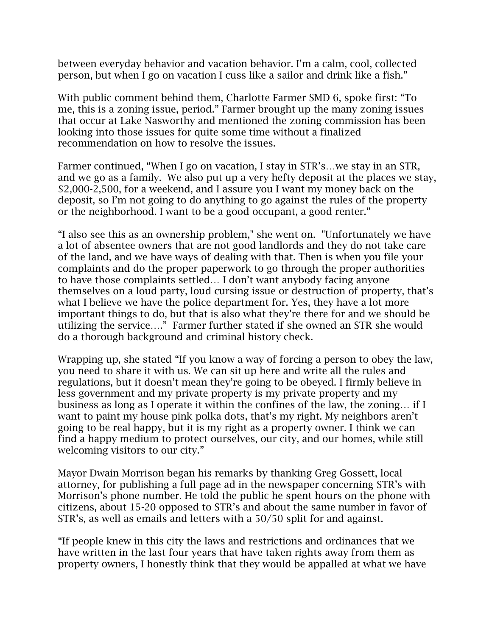between everyday behavior and vacation behavior. I'm a calm, cool, collected person, but when I go on vacation I cuss like a sailor and drink like a fish."

With public comment behind them, Charlotte Farmer SMD 6, spoke first: "To me, this is a zoning issue, period." Farmer brought up the many zoning issues that occur at Lake Nasworthy and mentioned the zoning commission has been looking into those issues for quite some time without a finalized recommendation on how to resolve the issues.

Farmer continued, "When I go on vacation, I stay in STR's…we stay in an STR, and we go as a family. We also put up a very hefty deposit at the places we stay, \$2,000-2,500, for a weekend, and I assure you I want my money back on the deposit, so I'm not going to do anything to go against the rules of the property or the neighborhood. I want to be a good occupant, a good renter."

"I also see this as an ownership problem," she went on. "Unfortunately we have a lot of absentee owners that are not good landlords and they do not take care of the land, and we have ways of dealing with that. Then is when you file your complaints and do the proper paperwork to go through the proper authorities to have those complaints settled… I don't want anybody facing anyone themselves on a loud party, loud cursing issue or destruction of property, that's what I believe we have the police department for. Yes, they have a lot more important things to do, but that is also what they're there for and we should be utilizing the service…." Farmer further stated if she owned an STR she would do a thorough background and criminal history check.

Wrapping up, she stated "If you know a way of forcing a person to obey the law, you need to share it with us. We can sit up here and write all the rules and regulations, but it doesn't mean they're going to be obeyed. I firmly believe in less government and my private property is my private property and my business as long as I operate it within the confines of the law, the zoning… if I want to paint my house pink polka dots, that's my right. My neighbors aren't going to be real happy, but it is my right as a property owner. I think we can find a happy medium to protect ourselves, our city, and our homes, while still welcoming visitors to our city."

Mayor Dwain Morrison began his remarks by thanking Greg Gossett, local attorney, for publishing a full page ad in the newspaper concerning STR's with Morrison's phone number. He told the public he spent hours on the phone with citizens, about 15-20 opposed to STR's and about the same number in favor of STR's, as well as emails and letters with a 50/50 split for and against.

"If people knew in this city the laws and restrictions and ordinances that we have written in the last four years that have taken rights away from them as property owners, I honestly think that they would be appalled at what we have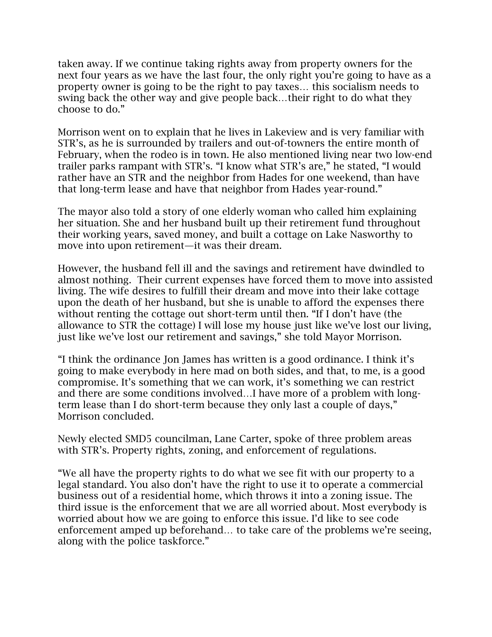taken away. If we continue taking rights away from property owners for the next four years as we have the last four, the only right you're going to have as a property owner is going to be the right to pay taxes… this socialism needs to swing back the other way and give people back…their right to do what they choose to do."

Morrison went on to explain that he lives in Lakeview and is very familiar with STR's, as he is surrounded by trailers and out-of-towners the entire month of February, when the rodeo is in town. He also mentioned living near two low-end trailer parks rampant with STR's. "I know what STR's are," he stated, "I would rather have an STR and the neighbor from Hades for one weekend, than have that long-term lease and have that neighbor from Hades year-round."

The mayor also told a story of one elderly woman who called him explaining her situation. She and her husband built up their retirement fund throughout their working years, saved money, and built a cottage on Lake Nasworthy to move into upon retirement—it was their dream.

However, the husband fell ill and the savings and retirement have dwindled to almost nothing. Their current expenses have forced them to move into assisted living. The wife desires to fulfill their dream and move into their lake cottage upon the death of her husband, but she is unable to afford the expenses there without renting the cottage out short-term until then. "If I don't have (the allowance to STR the cottage) I will lose my house just like we've lost our living, just like we've lost our retirement and savings," she told Mayor Morrison.

"I think the ordinance Jon James has written is a good ordinance. I think it's going to make everybody in here mad on both sides, and that, to me, is a good compromise. It's something that we can work, it's something we can restrict and there are some conditions involved…I have more of a problem with longterm lease than I do short-term because they only last a couple of days," Morrison concluded.

Newly elected SMD5 councilman, Lane Carter, spoke of three problem areas with STR's. Property rights, zoning, and enforcement of regulations.

"We all have the property rights to do what we see fit with our property to a legal standard. You also don't have the right to use it to operate a commercial business out of a residential home, which throws it into a zoning issue. The third issue is the enforcement that we are all worried about. Most everybody is worried about how we are going to enforce this issue. I'd like to see code enforcement amped up beforehand… to take care of the problems we're seeing, along with the police taskforce."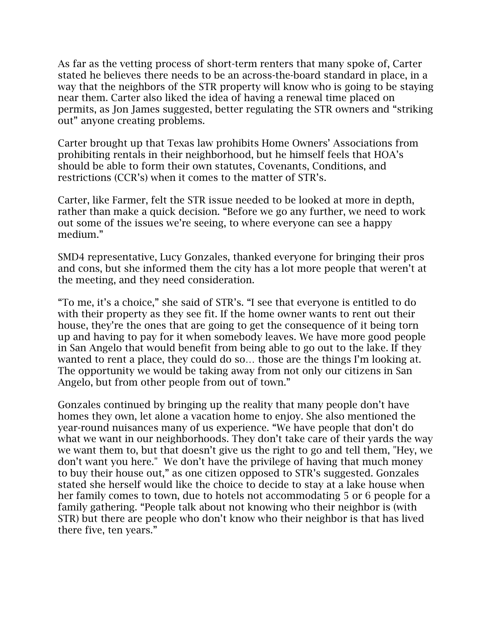As far as the vetting process of short-term renters that many spoke of, Carter stated he believes there needs to be an across-the-board standard in place, in a way that the neighbors of the STR property will know who is going to be staying near them. Carter also liked the idea of having a renewal time placed on permits, as Jon James suggested, better regulating the STR owners and "striking out" anyone creating problems.

Carter brought up that Texas law prohibits Home Owners' Associations from prohibiting rentals in their neighborhood, but he himself feels that HOA's should be able to form their own statutes, Covenants, Conditions, and restrictions (CCR's) when it comes to the matter of STR's.

Carter, like Farmer, felt the STR issue needed to be looked at more in depth, rather than make a quick decision. "Before we go any further, we need to work out some of the issues we're seeing, to where everyone can see a happy medium."

SMD4 representative, Lucy Gonzales, thanked everyone for bringing their pros and cons, but she informed them the city has a lot more people that weren't at the meeting, and they need consideration.

"To me, it's a choice," she said of STR's. "I see that everyone is entitled to do with their property as they see fit. If the home owner wants to rent out their house, they're the ones that are going to get the consequence of it being torn up and having to pay for it when somebody leaves. We have more good people in San Angelo that would benefit from being able to go out to the lake. If they wanted to rent a place, they could do so… those are the things I'm looking at. The opportunity we would be taking away from not only our citizens in San Angelo, but from other people from out of town."

Gonzales continued by bringing up the reality that many people don't have homes they own, let alone a vacation home to enjoy. She also mentioned the year-round nuisances many of us experience. "We have people that don't do what we want in our neighborhoods. They don't take care of their yards the way we want them to, but that doesn't give us the right to go and tell them, "Hey, we don't want you here." We don't have the privilege of having that much money to buy their house out," as one citizen opposed to STR's suggested. Gonzales stated she herself would like the choice to decide to stay at a lake house when her family comes to town, due to hotels not accommodating 5 or 6 people for a family gathering. "People talk about not knowing who their neighbor is (with STR) but there are people who don't know who their neighbor is that has lived there five, ten years."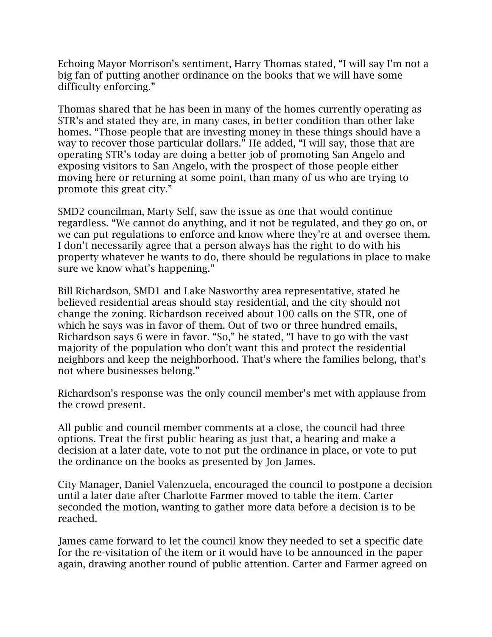Echoing Mayor Morrison's sentiment, Harry Thomas stated, "I will say I'm not a big fan of putting another ordinance on the books that we will have some difficulty enforcing."

Thomas shared that he has been in many of the homes currently operating as STR's and stated they are, in many cases, in better condition than other lake homes. "Those people that are investing money in these things should have a way to recover those particular dollars." He added, "I will say, those that are operating STR's today are doing a better job of promoting San Angelo and exposing visitors to San Angelo, with the prospect of those people either moving here or returning at some point, than many of us who are trying to promote this great city."

SMD2 councilman, Marty Self, saw the issue as one that would continue regardless. "We cannot do anything, and it not be regulated, and they go on, or we can put regulations to enforce and know where they're at and oversee them. I don't necessarily agree that a person always has the right to do with his property whatever he wants to do, there should be regulations in place to make sure we know what's happening."

Bill Richardson, SMD1 and Lake Nasworthy area representative, stated he believed residential areas should stay residential, and the city should not change the zoning. Richardson received about 100 calls on the STR, one of which he says was in favor of them. Out of two or three hundred emails, Richardson says 6 were in favor. "So," he stated, "I have to go with the vast majority of the population who don't want this and protect the residential neighbors and keep the neighborhood. That's where the families belong, that's not where businesses belong."

Richardson's response was the only council member's met with applause from the crowd present.

All public and council member comments at a close, the council had three options. Treat the first public hearing as just that, a hearing and make a decision at a later date, vote to not put the ordinance in place, or vote to put the ordinance on the books as presented by Jon James.

City Manager, Daniel Valenzuela, encouraged the council to postpone a decision until a later date after Charlotte Farmer moved to table the item. Carter seconded the motion, wanting to gather more data before a decision is to be reached.

James came forward to let the council know they needed to set a specific date for the re-visitation of the item or it would have to be announced in the paper again, drawing another round of public attention. Carter and Farmer agreed on